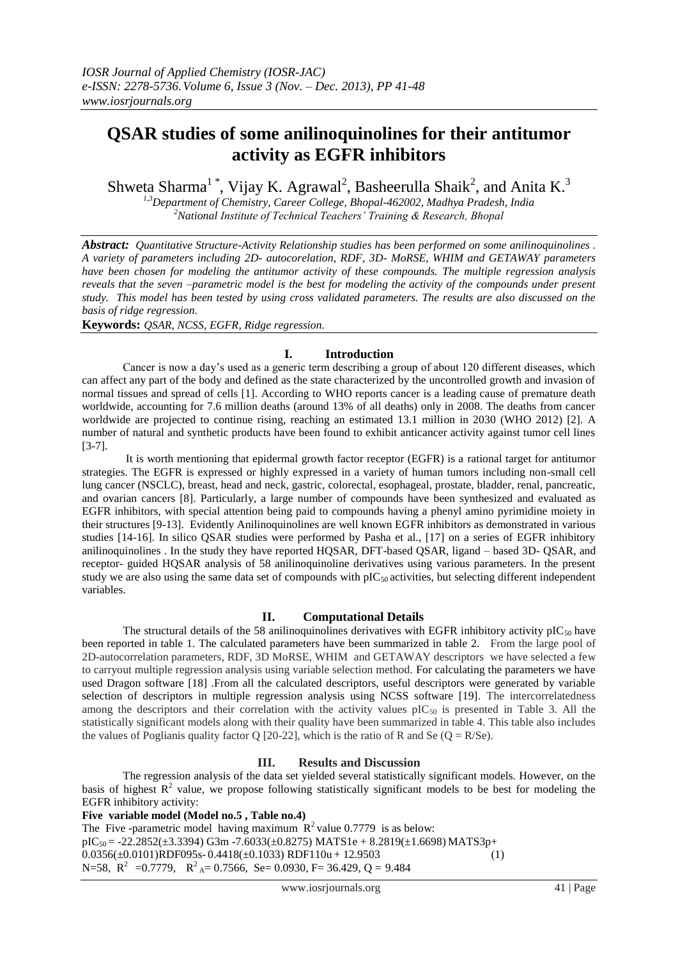# **QSAR studies of some anilinoquinolines for their antitumor activity as EGFR inhibitors**

Shweta Sharma<sup>1</sup>\*, Vijay K. Agrawal<sup>2</sup>, Basheerulla Shaik<sup>2</sup>, and Anita K.<sup>3</sup>

*1,3Department of Chemistry, Career College, Bhopal-462002, Madhya Pradesh, India <sup>2</sup>National Institute of Technical Teachers' Training & Research, Bhopal*

*Abstract: Quantitative Structure-Activity Relationship studies has been performed on some anilinoquinolines . A variety of parameters including 2D- autocorelation, RDF, 3D- MoRSE, WHIM and GETAWAY parameters have been chosen for modeling the antitumor activity of these compounds. The multiple regression analysis reveals that the seven –parametric model is the best for modeling the activity of the compounds under present study. This model has been tested by using cross validated parameters. The results are also discussed on the basis of ridge regression.* 

**Keywords:** *QSAR, NCSS, EGFR, Ridge regression.*

### **I. Introduction**

Cancer is now a day's used as a generic term describing a group of about 120 different diseases, which can affect any part of the body and defined as the state characterized by the uncontrolled growth and invasion of normal tissues and spread of cells [1]. According to WHO reports cancer is a leading cause of premature death worldwide, accounting for 7.6 million deaths (around 13% of all deaths) only in 2008. The deaths from cancer worldwide are projected to continue rising, reaching an estimated 13.1 million in 2030 (WHO 2012) [2]. A number of natural and synthetic products have been found to exhibit anticancer activity against tumor cell lines [3-7].

It is worth mentioning that epidermal growth factor receptor (EGFR) is a rational target for antitumor strategies. The EGFR is expressed or highly expressed in a variety of human tumors including non-small cell lung cancer (NSCLC), breast, head and neck, gastric, colorectal, esophageal, prostate, bladder, renal, pancreatic, and ovarian cancers [8]. Particularly, a large number of compounds have been synthesized and evaluated as EGFR inhibitors, with special attention being paid to compounds having a phenyl amino pyrimidine moiety in their structures [9-13]. Evidently Anilinoquinolines are well known EGFR inhibitors as demonstrated in various studies [14-16]. In silico QSAR studies were performed by Pasha et al., [17] on a series of EGFR inhibitory anilinoquinolines . In the study they have reported HQSAR, DFT-based QSAR, ligand – based 3D- QSAR, and receptor- guided HQSAR analysis of 58 anilinoquinoline derivatives using various parameters. In the present study we are also using the same data set of compounds with  $pIC_{50}$  activities, but selecting different independent variables.

### **II. Computational Details**

The structural details of the 58 anilinoquinolines derivatives with EGFR inhibitory activity pIC<sub>50</sub> have been reported in table 1. The calculated parameters have been summarized in table 2. From the large pool of 2D-autocorrelation parameters, RDF, 3D MoRSE, WHIM and GETAWAY descriptors we have selected a few to carryout multiple regression analysis using variable selection method. For calculating the parameters we have used Dragon software [18] .From all the calculated descriptors, useful descriptors were generated by variable selection of descriptors in multiple regression analysis using NCSS software [19]. The intercorrelatedness among the descriptors and their correlation with the activity values  $pIC_{50}$  is presented in Table 3. All the statistically significant models along with their quality have been summarized in table 4. This table also includes the values of Poglianis quality factor Q [20-22], which is the ratio of R and Se ( $Q = R/Se$ ).

## **III. Results and Discussion**

The regression analysis of the data set yielded several statistically significant models. However, on the basis of highest  $\mathbb{R}^2$  value, we propose following statistically significant models to be best for modeling the EGFR inhibitory activity:

### **Five variable model (Model no.5 , Table no.4)**

The Five -parametric model having maximum  $R^2$  value 0.7779 is as below:  $pIC_{50} = -22.2852(\pm 3.3394)$  G3m  $-7.6033(\pm 0.8275)$  MATS1e + 8.2819( $\pm 1.6698$ ) MATS3p+  $0.0356(\pm 0.0101)$ RDF095s-  $0.4418(\pm 0.1033)$  RDF110u + 12.9503 (1) N=58,  $R^2$  =0.7779,  $R^2$ <sub>A</sub>= 0.7566, Se= 0.0930, F= 36.429, Q = 9.484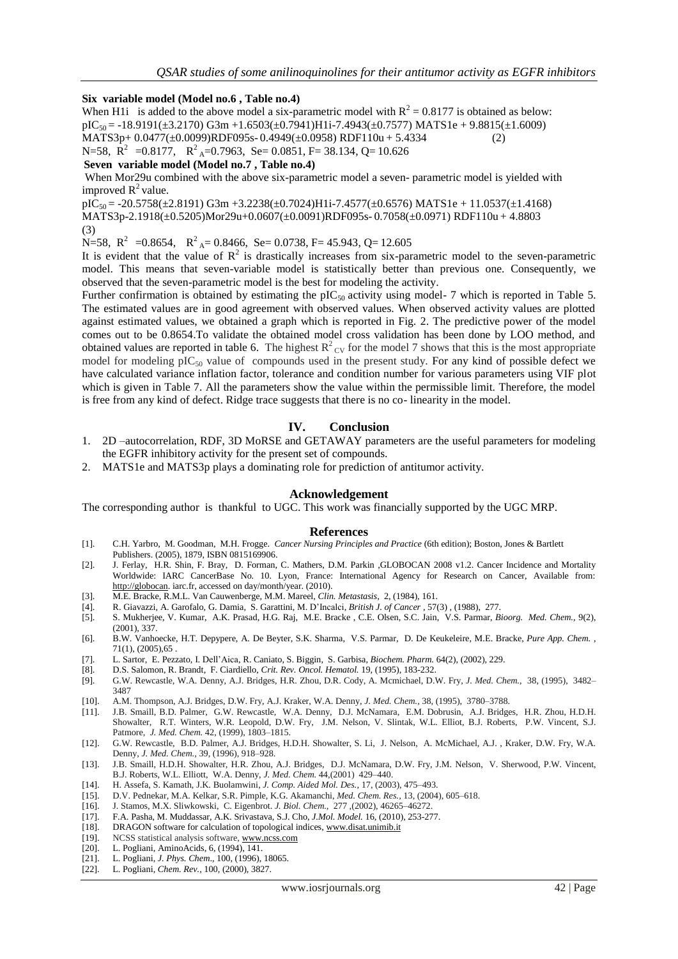#### **Six variable model (Model no.6 , Table no.4)**

When H1i is added to the above model a six-parametric model with  $R^2 = 0.8177$  is obtained as below:  $pIC_{50} = -18.9191(\pm 3.2170) G3m + 1.6503(\pm 0.7941)H1i-7.4943(\pm 0.7577)$  MATS1e + 9.8815( $\pm 1.6009$ ) MATS3p+ 0.0477(±0.0099)RDF095s- 0.4949(±0.0958) RDF110u + 5.4334 (2) N=58,  $\overline{R}^2$  =0.8177,  $\overline{R}^2$ <sub>A</sub>=0.7963, Se= 0.0851, F= 38.134, Q= 10.626 **Seven variable model (Model no.7 , Table no.4)**

When Mor29u combined with the above six-parametric model a seven- parametric model is yielded with improved  $R^2$  value.

 $pIC_{50} = -20.5758(\pm 2.8191)$  G3m +3.2238( $\pm$ 0.7024)H1i-7.4577( $\pm$ 0.6576) MATS1e + 11.0537( $\pm$ 1.4168) MATS3p-2.1918(±0.5205)Mor29u+0.0607(±0.0091)RDF095s- 0.7058(±0.0971) RDF110u + 4.8803 (3)

N=58,  $R^2$  = 0.8654,  $R^2$ <sub>A</sub> = 0.8466, Se = 0.0738, F = 45.943, Q = 12.605

It is evident that the value of  $\mathbb{R}^2$  is drastically increases from six-parametric model to the seven-parametric model. This means that seven-variable model is statistically better than previous one. Consequently, we observed that the seven-parametric model is the best for modeling the activity.

Further confirmation is obtained by estimating the  $pIC_{50}$  activity using model- 7 which is reported in Table 5. The estimated values are in good agreement with observed values. When observed activity values are plotted against estimated values, we obtained a graph which is reported in Fig. 2. The predictive power of the model comes out to be 0.8654.To validate the obtained model cross validation has been done by LOO method, and obtained values are reported in table 6. The highest  $R^2_{\text{CV}}$  for the model 7 shows that this is the most appropriate model for modeling  $pIC_{50}$  value of compounds used in the present study. For any kind of possible defect we have calculated variance inflation factor, tolerance and condition number for various parameters using VIF plot which is given in Table 7. All the parameters show the value within the permissible limit. Therefore, the model is free from any kind of defect. Ridge trace suggests that there is no co- linearity in the model.

### **IV. Conclusion**

- 1. 2D –autocorrelation, RDF, 3D MoRSE and GETAWAY parameters are the useful parameters for modeling the EGFR inhibitory activity for the present set of compounds.
- 2. MATS1e and MATS3p plays a dominating role for prediction of antitumor activity.

#### **Acknowledgement**

The corresponding author is thankful to UGC. This work was financially supported by the UGC MRP.

#### **References**

- [1]. C.H. Yarbro, M. Goodman, M.H. Frogge. *Cancer Nursing Principles and Practice* (6th edition); Boston, Jones & Bartlett Publishers. (2005), 1879, ISBN 0815169906.
- [2]. J. Ferlay, H.R. Shin, F. Bray, D. Forman, C. Mathers, D.M. Parkin ,GLOBOCAN 2008 v1.2. Cancer Incidence and Mortality Worldwide: IARC CancerBase No. 10. Lyon, France: International Agency for Research on Cancer, Available from: [http://globocan.](http://globocan/) iarc.fr, accessed on day/month/year. (2010).
- [3]. M.E. Bracke, R.M.L. Van Cauwenberge, M.M. Mareel, *Clin. Metastasis,* 2, (1984), 161.
- [4]. R. Giavazzi, A. Garofalo, G. Damia, S. Garattini, M. D'Incalci, *British J. of Cancer ,* 57(3) , (1988), 277.
- [5]. S. Mukherjee, V. Kumar, A.K. Prasad, H.G. Raj, M.E. Bracke , C.E. Olsen, S.C. Jain, V.S. Parmar, *Bioorg. Med. Chem.,* 9(2), (2001), 337.
- [6]. B.W. Vanhoecke, H.T. Depypere, A. De Beyter, S.K. Sharma, V.S. Parmar, D. De Keukeleire, M.E. Bracke, *Pure App. Chem.* ,  $71(1)$ ,  $(2005)$ , 65.
- [7]. L. Sartor, E. Pezzato, I. Dell'Aica, R. Caniato, S. Biggin, S. Garbisa, *Biochem. Pharm.* 64(2), (2002), 229.
- [8]. D.S. Salomon, R. Brandt, F. Ciardiello, *Crit. Rev. Oncol. Hematol.* 19, (1995), 183-232.
- [9]. G.W. Rewcastle, W.A. Denny, A.J. Bridges, H.R. Zhou, D.R. Cody, A. Mcmichael, D.W. Fry, *J. Med. Chem.,* 38, (1995), 3482– 3487
- [10]. A.M. Thompson, A.J. Bridges, D.W. Fry, A.J. Kraker, W.A. Denny, *J. Med. Chem.,* 38, (1995), 3780–3788.
- [11]. J.B. Smaill, B.D. Palmer, G.W. Rewcastle, W.A. Denny, D.J. McNamara, E.M. Dobrusin, A.J. Bridges, H.R. Zhou, H.D.H. Showalter, R.T. Winters, W.R. Leopold, D.W. Fry, J.M. Nelson, V. Slintak, W.L. Elliot, B.J. Roberts, P.W. Vincent, S.J. Patmore, *J. Med. Chem.* 42, (1999), 1803–1815.
- [12]. G.W. Rewcastle, B.D. Palmer, A.J. Bridges, H.D.H. Showalter, S. Li, J. Nelson, A. McMichael, A.J. , Kraker, D.W. Fry, W.A. Denny, *J. Med. Chem.,* 39, (1996), 918–928.
- [13]. J.B. Smaill, H.D.H. Showalter, H.R. Zhou, A.J. Bridges, D.J. McNamara, D.W. Fry, J.M. Nelson, V. Sherwood, P.W. Vincent, B.J. Roberts, W.L. Elliott, W.A. Denny, *J. Med. Chem.* 44*,*(2001) 429–440.
- [14]. H. Assefa, S. Kamath, J.K. Buolamwini, *J. Comp. Aided Mol. Des.,* 17, (2003), 475–493.
- [15]. D.V. Pednekar, M.A. Kelkar, S.R. Pimple, K.G. Akamanchi, *Med. Chem. Res.,* 13, (2004), 605–618.
- [16]. J. Stamos, M.X. Sliwkowski, C. Eigenbrot. *J. Biol. Chem.,* 277 ,(2002), 46265–46272.
- [17]. F.A. Pasha, M. Muddassar, A.K. Srivastava, S.J. Cho, *J.Mol. Model.* 16, (2010), 253-277.
- [18]. DRAGON software for calculation of topological indices[, www.disat.unimib.it](http://www.disat.unimib.it/) [19]. NCSS statistical analysis software, www.ncss.com
- NCSS statistical analysis software[, www.ncss.com](http://www.ncss.com/)
- [20]. L. Pogliani, AminoAcids, 6, (1994), 141.
- [21]. L. Pogliani, *J. Phys. Chem*., 100, (1996), 18065.
- [22]. L. Pogliani, *Chem. Rev.,* 100, (2000), 3827.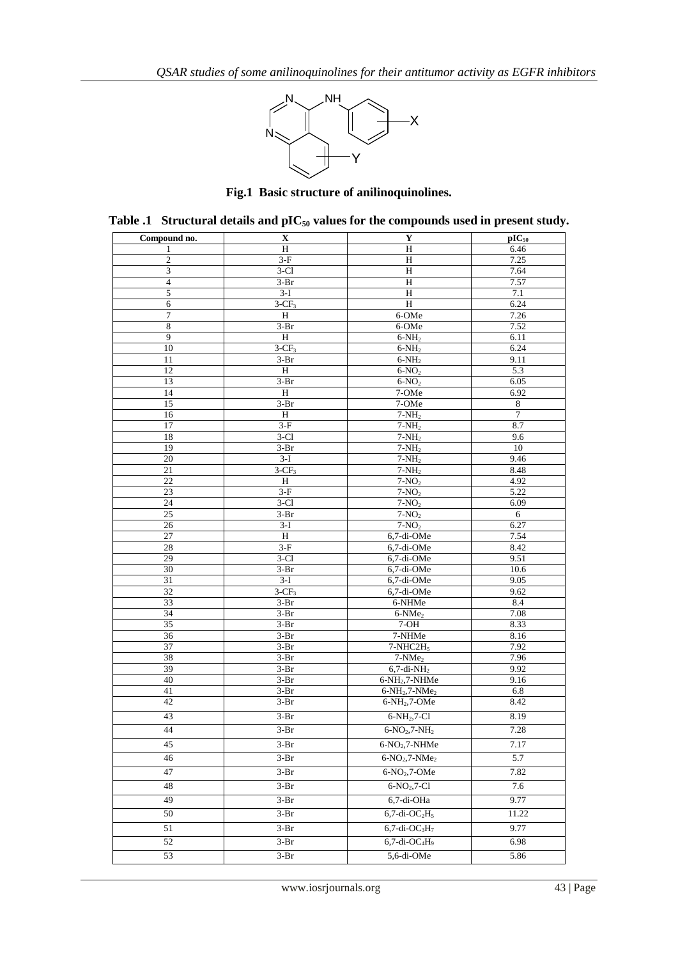

**Fig.1 Basic structure of anilinoquinolines.**

| Compound no.    | X                  | Y                                        | $pIC_{50}$       |
|-----------------|--------------------|------------------------------------------|------------------|
| 1               | H                  | H                                        | 6.46             |
| $\mathfrak{2}$  | $3-F$              | H                                        | 7.25             |
| 3               | $3-C1$             | H                                        | 7.64             |
| $\overline{4}$  | $3-Br$             | H                                        | 7.57             |
| $\sqrt{5}$      | $3-I$              | $\rm H$                                  | 7.1              |
| 6               | $3-CF3$            | H                                        | 6.24             |
| $\tau$          | $\rm H$            | 6-OMe                                    | 7.26             |
| $\,$ 8 $\,$     | $3-Br$             | 6-OMe                                    | 7.52             |
| 9               | H                  | $6-NH2$                                  | 6.11             |
| $10\,$          | $3-CF_3$           | $6-NH2$                                  | 6.24             |
| 11              | $3-Br$             | $6-NH2$                                  | 9.11             |
| 12              | H                  | $6-NO2$                                  | 5.3              |
| 13              | $3-Br$             | $6-NO2$                                  | 6.05             |
| 14              | $\, {\rm H}$       | 7-OMe                                    | 6.92             |
| 15              | $3-Br$             | 7-OMe                                    | 8                |
| 16              | $\, {\rm H}$       | $7-NH2$                                  | $\boldsymbol{7}$ |
| 17              | $3-F$              | $7-NH2$                                  | 8.7              |
| 18              | $3-C1$             | $7-NH_2$                                 | 9.6              |
| 19              | $3-Br$             | $7-NH_2$                                 | 10               |
| 20              | $3-I$              | $7-NH_2$                                 | 9.46             |
| 21              | $3-CF_3$           | $7-NH_2$                                 | 8.48             |
| 22              | $\, {\rm H}$       | $7-NO2$                                  | 4.92             |
| 23              | $3-F$              | $7-NO2$                                  | 5.22             |
| 24              | $3-C1$             | $7-NO2$                                  | 6.09             |
| $\overline{25}$ | $3-Br$             | $7-NO2$                                  | 6                |
| $\overline{26}$ | $3-I$              | $7-NO2$                                  | 6.27             |
| 27              | $\, {\rm H}$       | $6,7$ -di-OMe                            | 7.54             |
| 28              | $3-F$              | 6,7-di-OMe                               | 8.42             |
| 29              | $3-C1$             | 6,7-di-OMe                               | 9.51             |
| 30              | $3-Br$             | 6,7-di-OMe                               | 10.6             |
| 31              | $3-I$              | $6,7$ -di-OMe                            | 9.05             |
| 32              | $3-CF_3$           | 6,7-di-OMe                               | 9.62             |
| 33<br>34        | $3-Br$             | 6-NHMe                                   | 8.4              |
| 35              | $3-Br$<br>$3-Br$   | $6-NMe2$<br>$7-OH$                       | 7.08<br>8.33     |
| 36              | $3-Br$             | 7-NHMe                                   | 8.16             |
| 37              | $3-Br$             | $7-NHC2H_5$                              | 7.92             |
| 38              | $3-Br$             | $7-NMe2$                                 | 7.96             |
| 39              | $3-Br$             | $6,7$ -di-N $H2$                         | 9.92             |
| 40              | $3-Br$             | $6-NH_2$ , $7-NHMe$                      | 9.16             |
| 41              | $3-Br$             | $6-NH_2$ , $7-NMe_2$                     | 6.8              |
| 42              | $3-Br$             | $6-NH_2$ , $7-OMe$                       | 8.42             |
|                 |                    |                                          |                  |
| 43              | $3-Br$             | $6-NH_2, 7-C1$                           | 8.19             |
| 44              | $3-Pr$             | $6-NO_2, 7-NH_2$                         | 7.28             |
| 45              | $3-Br$             | $6-NO2, 7-NHMe$                          | 7.17             |
| 46              | $3-Br$             | $6-NO_2, 7-NMe_2$                        | 5.7              |
| 47              | $3-Br$             | $6-NO2, 7-OME$                           | 7.82             |
|                 |                    |                                          |                  |
| 48              | $3-Br$             | $6-NO2, 7-C1$                            | 7.6              |
| 49              | $3-Br$             | 6,7-di-OHa                               | 9.77             |
| 50              | $3-Br$             | $6,7$ -di-O $C_2H_5$                     | 11.22            |
|                 | $\overline{3}$ -Br | $6,7$ -di-O $C_3H_7$                     | 9.77             |
| 51              |                    |                                          |                  |
| 52              | $3-Br$             | $6,7$ -di-OC <sub>4</sub> H <sub>9</sub> | 6.98             |
| 53              | $\overline{3}$ -Br | 5,6-di-OMe                               | 5.86             |

**Table .1 Structural details and pIC<sup>50</sup> values for the compounds used in present study.**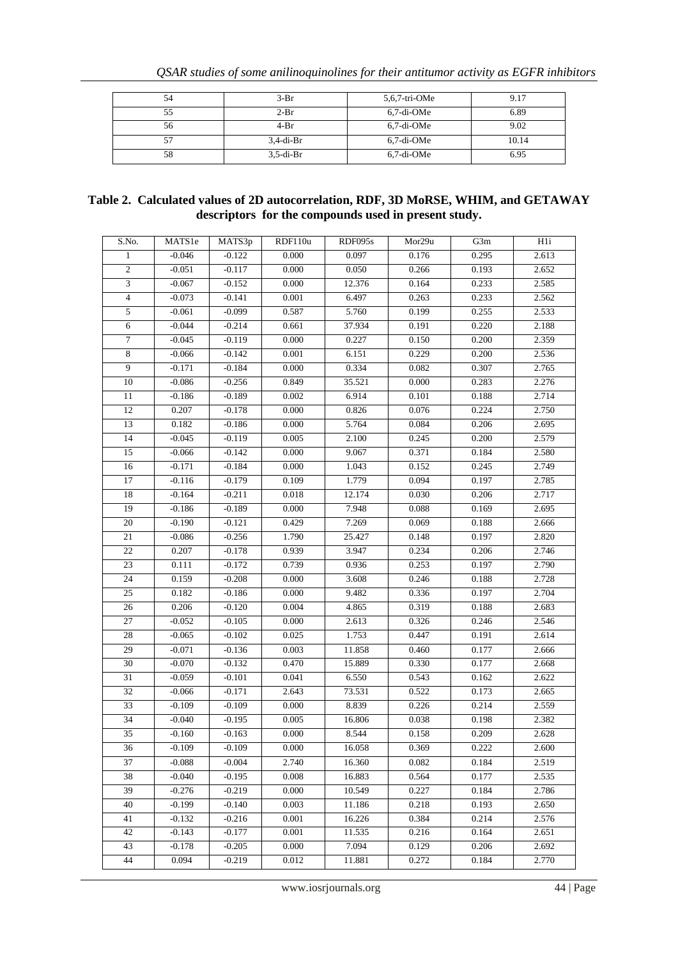| 54 | $3-Br$       | $5,6,7$ -tri-OMe | 9.17  |
|----|--------------|------------------|-------|
| 55 | $2-Pr$       | 6.7-di-OMe       | 6.89  |
| 56 | $4-Br$       | 6.7-di-OMe       | 9.02  |
|    | $3.4$ -di-Br | 6.7-di-OMe       | 10.14 |
| 58 | $3.5$ -di-Br | $6.7$ -di-OMe    | 6.95  |

## **Table 2. Calculated values of 2D autocorrelation, RDF, 3D MoRSE, WHIM, and GETAWAY descriptors for the compounds used in present study.**

| S.No.            | MATS1e   | MATS3p   | RDF110u | RDF095s | Mor29u | G3m   | H1i   |
|------------------|----------|----------|---------|---------|--------|-------|-------|
| $\mathbf{1}$     | $-0.046$ | $-0.122$ | 0.000   | 0.097   | 0.176  | 0.295 | 2.613 |
| $\overline{2}$   | $-0.051$ | $-0.117$ | 0.000   | 0.050   | 0.266  | 0.193 | 2.652 |
| $\overline{3}$   | $-0.067$ | $-0.152$ | 0.000   | 12.376  | 0.164  | 0.233 | 2.585 |
| $\overline{4}$   | $-0.073$ | $-0.141$ | 0.001   | 6.497   | 0.263  | 0.233 | 2.562 |
| $\sqrt{5}$       | $-0.061$ | $-0.099$ | 0.587   | 5.760   | 0.199  | 0.255 | 2.533 |
| 6                | $-0.044$ | $-0.214$ | 0.661   | 37.934  | 0.191  | 0.220 | 2.188 |
| $\tau$           | $-0.045$ | $-0.119$ | 0.000   | 0.227   | 0.150  | 0.200 | 2.359 |
| $\,8\,$          | $-0.066$ | $-0.142$ | 0.001   | 6.151   | 0.229  | 0.200 | 2.536 |
| $\boldsymbol{9}$ | $-0.171$ | $-0.184$ | 0.000   | 0.334   | 0.082  | 0.307 | 2.765 |
| 10               | $-0.086$ | $-0.256$ | 0.849   | 35.521  | 0.000  | 0.283 | 2.276 |
| 11               | $-0.186$ | $-0.189$ | 0.002   | 6.914   | 0.101  | 0.188 | 2.714 |
| 12               | 0.207    | $-0.178$ | 0.000   | 0.826   | 0.076  | 0.224 | 2.750 |
| 13               | 0.182    | $-0.186$ | 0.000   | 5.764   | 0.084  | 0.206 | 2.695 |
| 14               | $-0.045$ | $-0.119$ | 0.005   | 2.100   | 0.245  | 0.200 | 2.579 |
| 15               | $-0.066$ | $-0.142$ | 0.000   | 9.067   | 0.371  | 0.184 | 2.580 |
| 16               | $-0.171$ | $-0.184$ | 0.000   | 1.043   | 0.152  | 0.245 | 2.749 |
| 17               | $-0.116$ | $-0.179$ | 0.109   | 1.779   | 0.094  | 0.197 | 2.785 |
| 18               | $-0.164$ | $-0.211$ | 0.018   | 12.174  | 0.030  | 0.206 | 2.717 |
| 19               | $-0.186$ | $-0.189$ | 0.000   | 7.948   | 0.088  | 0.169 | 2.695 |
| $20\,$           | $-0.190$ | $-0.121$ | 0.429   | 7.269   | 0.069  | 0.188 | 2.666 |
| 21               | $-0.086$ | $-0.256$ | 1.790   | 25.427  | 0.148  | 0.197 | 2.820 |
| 22               | 0.207    | $-0.178$ | 0.939   | 3.947   | 0.234  | 0.206 | 2.746 |
| 23               | 0.111    | $-0.172$ | 0.739   | 0.936   | 0.253  | 0.197 | 2.790 |
| 24               | 0.159    | $-0.208$ | 0.000   | 3.608   | 0.246  | 0.188 | 2.728 |
| 25               | 0.182    | $-0.186$ | 0.000   | 9.482   | 0.336  | 0.197 | 2.704 |
| 26               | 0.206    | $-0.120$ | 0.004   | 4.865   | 0.319  | 0.188 | 2.683 |
| 27               | $-0.052$ | $-0.105$ | 0.000   | 2.613   | 0.326  | 0.246 | 2.546 |
| 28               | $-0.065$ | $-0.102$ | 0.025   | 1.753   | 0.447  | 0.191 | 2.614 |
| 29               | $-0.071$ | $-0.136$ | 0.003   | 11.858  | 0.460  | 0.177 | 2.666 |
| 30               | $-0.070$ | $-0.132$ | 0.470   | 15.889  | 0.330  | 0.177 | 2.668 |
| 31               | $-0.059$ | $-0.101$ | 0.041   | 6.550   | 0.543  | 0.162 | 2.622 |
| 32               | $-0.066$ | $-0.171$ | 2.643   | 73.531  | 0.522  | 0.173 | 2.665 |
| 33               | $-0.109$ | $-0.109$ | 0.000   | 8.839   | 0.226  | 0.214 | 2.559 |
| 34               | $-0.040$ | $-0.195$ | 0.005   | 16.806  | 0.038  | 0.198 | 2.382 |
| $\overline{35}$  | $-0.160$ | $-0.163$ | 0.000   | 8.544   | 0.158  | 0.209 | 2.628 |
| 36               | $-0.109$ | $-0.109$ | 0.000   | 16.058  | 0.369  | 0.222 | 2.600 |
| 37               | $-0.088$ | $-0.004$ | 2.740   | 16.360  | 0.082  | 0.184 | 2.519 |
| 38               | $-0.040$ | $-0.195$ | 0.008   | 16.883  | 0.564  | 0.177 | 2.535 |
| 39               | $-0.276$ | $-0.219$ | 0.000   | 10.549  | 0.227  | 0.184 | 2.786 |
| 40               | $-0.199$ | $-0.140$ | 0.003   | 11.186  | 0.218  | 0.193 | 2.650 |
| 41               | $-0.132$ | $-0.216$ | 0.001   | 16.226  | 0.384  | 0.214 | 2.576 |
| 42               | $-0.143$ | $-0.177$ | 0.001   | 11.535  | 0.216  | 0.164 | 2.651 |
| 43               | $-0.178$ | $-0.205$ | 0.000   | 7.094   | 0.129  | 0.206 | 2.692 |
| 44               | 0.094    | $-0.219$ | 0.012   | 11.881  | 0.272  | 0.184 | 2.770 |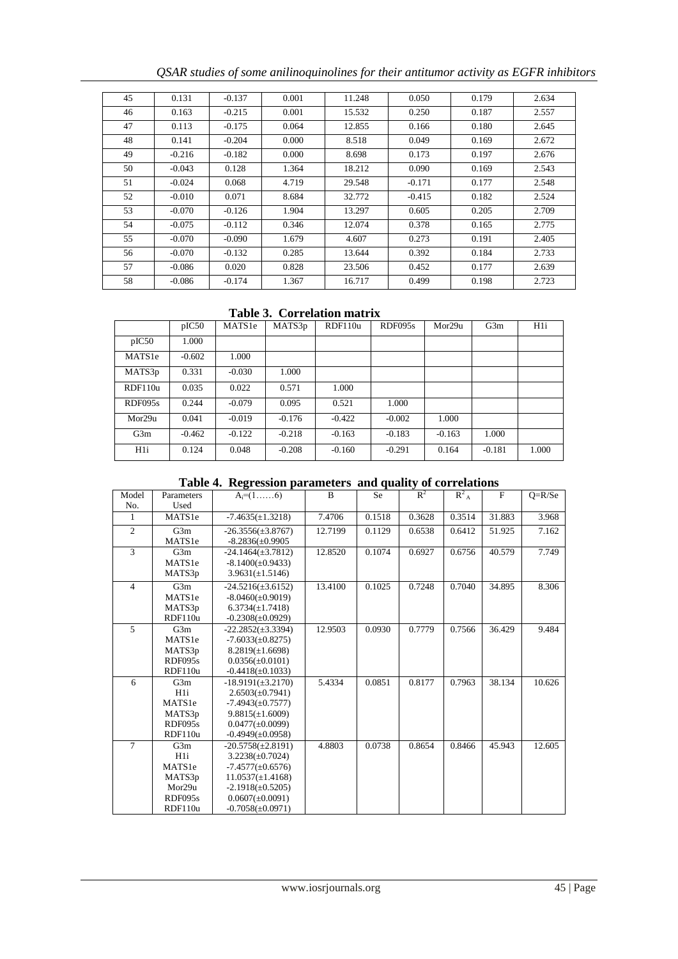|  |  |  | QSAR studies of some anilinoquinolines for their antitumor activity as EGFR inhibitors |  |  |
|--|--|--|----------------------------------------------------------------------------------------|--|--|
|  |  |  |                                                                                        |  |  |
|  |  |  |                                                                                        |  |  |

| 45 | 0.131    | $-0.137$ | 0.001 | 11.248 | 0.050    | 0.179 | 2.634 |
|----|----------|----------|-------|--------|----------|-------|-------|
| 46 | 0.163    | $-0.215$ | 0.001 | 15.532 | 0.250    | 0.187 | 2.557 |
| 47 | 0.113    | $-0.175$ | 0.064 | 12.855 | 0.166    | 0.180 | 2.645 |
| 48 | 0.141    | $-0.204$ | 0.000 | 8.518  | 0.049    | 0.169 | 2.672 |
| 49 | $-0.216$ | $-0.182$ | 0.000 | 8.698  | 0.173    | 0.197 | 2.676 |
| 50 | $-0.043$ | 0.128    | 1.364 | 18.212 | 0.090    | 0.169 | 2.543 |
| 51 | $-0.024$ | 0.068    | 4.719 | 29.548 | $-0.171$ | 0.177 | 2.548 |
| 52 | $-0.010$ | 0.071    | 8.684 | 32.772 | $-0.415$ | 0.182 | 2.524 |
| 53 | $-0.070$ | $-0.126$ | 1.904 | 13.297 | 0.605    | 0.205 | 2.709 |
| 54 | $-0.075$ | $-0.112$ | 0.346 | 12.074 | 0.378    | 0.165 | 2.775 |
| 55 | $-0.070$ | $-0.090$ | 1.679 | 4.607  | 0.273    | 0.191 | 2.405 |
| 56 | $-0.070$ | $-0.132$ | 0.285 | 13.644 | 0.392    | 0.184 | 2.733 |
| 57 | $-0.086$ | 0.020    | 0.828 | 23.506 | 0.452    | 0.177 | 2.639 |
| 58 | $-0.086$ | $-0.174$ | 1.367 | 16.717 | 0.499    | 0.198 | 2.723 |

# **Table 3. Correlation matrix**

|                | pIC50    | MATS1e   | MATS3p   | RDF110u  | RDF095s  | Mor29u   | G3m      | H <sub>1</sub> |
|----------------|----------|----------|----------|----------|----------|----------|----------|----------------|
| pIC50          | 1.000    |          |          |          |          |          |          |                |
| MATS1e         | $-0.602$ | 1.000    |          |          |          |          |          |                |
| MATS3p         | 0.331    | $-0.030$ | 1.000    |          |          |          |          |                |
| RDF110u        | 0.035    | 0.022    | 0.571    | 1.000    |          |          |          |                |
| RDF095s        | 0.244    | $-0.079$ | 0.095    | 0.521    | 1.000    |          |          |                |
| Mor29u         | 0.041    | $-0.019$ | $-0.176$ | $-0.422$ | $-0.002$ | 1.000    |          |                |
| G3m            | $-0.462$ | $-0.122$ | $-0.218$ | $-0.163$ | $-0.183$ | $-0.163$ | 1.000    |                |
| H <sub>1</sub> | 0.124    | 0.048    | $-0.208$ | $-0.160$ | $-0.291$ | 0.164    | $-0.181$ | 1.000          |

|  |  |  |  |  | Table 4. Regression parameters and quality of correlations |
|--|--|--|--|--|------------------------------------------------------------|
|--|--|--|--|--|------------------------------------------------------------|

| Model          | Parameters     | $A_i = (1, \ldots, 6)$ | $\mathbf{B}$ | <b>Se</b> | $R^2$  | $R_{A}^{2}$ | F      | $Q=R/Se$ |
|----------------|----------------|------------------------|--------------|-----------|--------|-------------|--------|----------|
| No.            | Used           |                        |              |           |        |             |        |          |
| 1              | MATS1e         | $-7.4635(\pm 1.3218)$  | 7.4706       | 0.1518    | 0.3628 | 0.3514      | 31.883 | 3.968    |
| $\overline{c}$ | G3m            | $-26.3556(\pm 3.8767)$ | 12.7199      | 0.1129    | 0.6538 | 0.6412      | 51.925 | 7.162    |
|                | MATS1e         | $-8.2836(\pm 0.9905)$  |              |           |        |             |        |          |
| 3              | G3m            | $-24.1464(\pm 3.7812)$ | 12.8520      | 0.1074    | 0.6927 | 0.6756      | 40.579 | 7.749    |
|                | MATS1e         | $-8.1400(\pm 0.9433)$  |              |           |        |             |        |          |
|                | MATS3p         | $3.9631(\pm 1.5146)$   |              |           |        |             |        |          |
| $\overline{4}$ | G3m            | $-24.5216(\pm 3.6152)$ | 13.4100      | 0.1025    | 0.7248 | 0.7040      | 34.895 | 8.306    |
|                | MATS1e         | $-8.0460(\pm 0.9019)$  |              |           |        |             |        |          |
|                | MATS3p         | $6.3734(\pm 1.7418)$   |              |           |        |             |        |          |
|                | RDF110u        | $-0.2308(\pm 0.0929)$  |              |           |        |             |        |          |
| 5              | G3m            | $-22.2852(\pm 3.3394)$ | 12.9503      | 0.0930    | 0.7779 | 0.7566      | 36.429 | 9.484    |
|                | MATS1e         | $-7.6033(\pm 0.8275)$  |              |           |        |             |        |          |
|                | MATS3p         | $8.2819(\pm 1.6698)$   |              |           |        |             |        |          |
|                | <b>RDF095s</b> | $0.0356(\pm 0.0101)$   |              |           |        |             |        |          |
|                | RDF110u        | $-0.4418(\pm 0.1033)$  |              |           |        |             |        |          |
| 6              | G3m            | $-18.9191(\pm 3.2170)$ | 5.4334       | 0.0851    | 0.8177 | 0.7963      | 38.134 | 10.626   |
|                | H <sub>1</sub> | $2.6503(\pm 0.7941)$   |              |           |        |             |        |          |
|                | MATS1e         | $-7.4943(\pm 0.7577)$  |              |           |        |             |        |          |
|                | MATS3p         | $9.8815(\pm 1.6009)$   |              |           |        |             |        |          |
|                | <b>RDF095s</b> | $0.0477(\pm 0.0099)$   |              |           |        |             |        |          |
|                | RDF110u        | $-0.4949(\pm 0.0958)$  |              |           |        |             |        |          |
| $\overline{7}$ | G3m            | $-20.5758(\pm 2.8191)$ | 4.8803       | 0.0738    | 0.8654 | 0.8466      | 45.943 | 12.605   |
|                | H <sub>1</sub> | $3.2238(\pm 0.7024)$   |              |           |        |             |        |          |
|                | MATS1e         | $-7.4577(\pm 0.6576)$  |              |           |        |             |        |          |
|                | MATS3p         | $11.0537(\pm 1.4168)$  |              |           |        |             |        |          |
|                | Mor29u         | $-2.1918(\pm 0.5205)$  |              |           |        |             |        |          |
|                | <b>RDF095s</b> | $0.0607(\pm 0.0091)$   |              |           |        |             |        |          |
|                | RDF110u        | $-0.7058(\pm 0.0971)$  |              |           |        |             |        |          |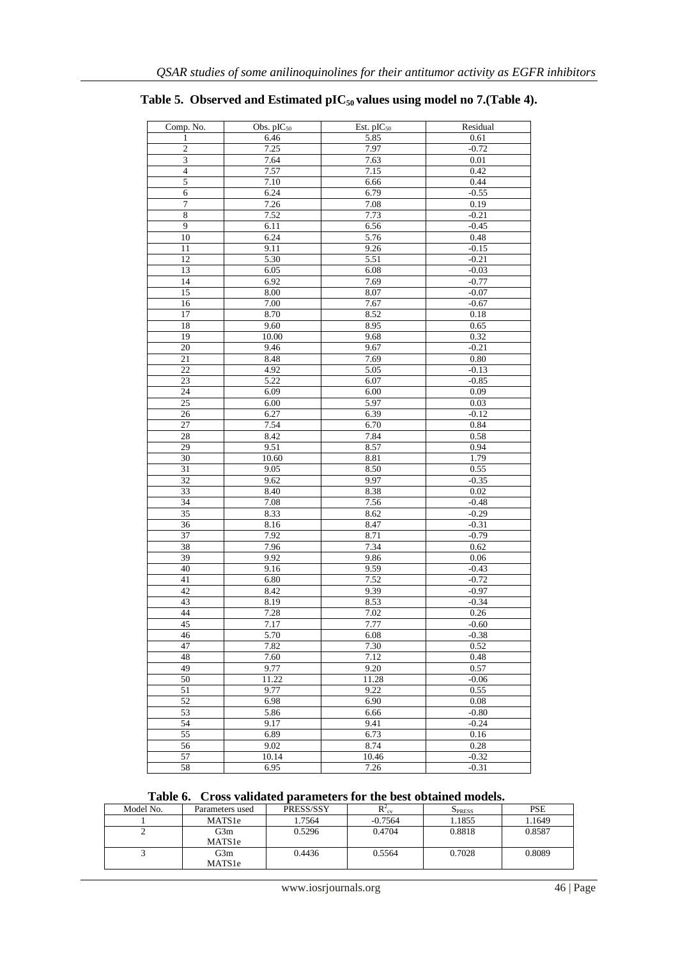| Comp. No.               | Obs. $pIC_{50}$ | Est. pIC <sub>50</sub> | Residual |
|-------------------------|-----------------|------------------------|----------|
| 1                       | 6.46            | 5.85                   | 0.61     |
| $\overline{\mathbf{c}}$ | 7.25            | 7.97                   | $-0.72$  |
| $\overline{3}$          | 7.64            | 7.63                   | $0.01\,$ |
| $\overline{\mathbf{4}}$ | 7.57            | 7.15                   | 0.42     |
| 5                       | 7.10            | 6.66                   | 0.44     |
| $\overline{6}$          | 6.24            | 6.79                   | $-0.55$  |
| $\overline{7}$          | 7.26            | 7.08                   | 0.19     |
| $\overline{8}$          | 7.52            | 7.73                   | $-0.21$  |
| $\overline{9}$          | 6.11            | 6.56                   | $-0.45$  |
| 10                      | 6.24            | 5.76                   | 0.48     |
| 11                      | 9.11            | 9.26                   | $-0.15$  |
| 12                      | 5.30            | 5.51                   | $-0.21$  |
| 13                      | 6.05            | 6.08                   | $-0.03$  |
| 14                      | 6.92            | 7.69                   | $-0.77$  |
| 15                      | 8.00            | 8.07                   | $-0.07$  |
| 16                      | 7.00            | 7.67                   | $-0.67$  |
| 17                      | 8.70            | 8.52                   | 0.18     |
| 18                      | 9.60            | 8.95                   | 0.65     |
| 19                      | 10.00           | 9.68                   | 0.32     |
|                         | 9.46            |                        | $-0.21$  |
| 20                      |                 | 9.67                   |          |
| 21                      | 8.48            | 7.69                   | 0.80     |
| 22                      | 4.92            | 5.05                   | $-0.13$  |
| 23                      | 5.22            | 6.07                   | $-0.85$  |
| 24                      | 6.09            | 6.00                   | 0.09     |
| 25                      | 6.00            | 5.97                   | 0.03     |
| 26                      | 6.27            | 6.39                   | $-0.12$  |
| $\overline{27}$         | 7.54            | 6.70                   | 0.84     |
| 28                      | 8.42            | 7.84                   | 0.58     |
| 29                      | 9.51            | 8.57                   | 0.94     |
| 30                      | 10.60           | 8.81                   | 1.79     |
| 31                      | 9.05            | 8.50                   | 0.55     |
| 32                      | 9.62            | 9.97                   | $-0.35$  |
| 33                      | 8.40            | 8.38                   | 0.02     |
| $\overline{34}$         | 7.08            | 7.56                   | $-0.48$  |
| 35                      | 8.33            | 8.62                   | $-0.29$  |
| 36                      | 8.16            | 8.47                   | $-0.31$  |
| 37                      | 7.92            | 8.71                   | $-0.79$  |
| 38                      | 7.96            | 7.34                   | 0.62     |
| 39                      | 9.92            | 9.86                   | 0.06     |
| 40                      | 9.16            | 9.59                   | $-0.43$  |
| 41                      | 6.80            | 7.52                   | $-0.72$  |
| 42                      | 8.42            | 9.39                   | $-0.97$  |
| 43                      | 8.19            | 8.53                   | $-0.34$  |
| 44                      | 7.28            | 7.02                   | 0.26     |
| 45                      | 7.17            | 7.77                   | $-0.60$  |
| 46                      | 5.70            | 6.08                   | $-0.38$  |
| 47                      | 7.82            | 7.30                   | 0.52     |
| 48                      | 7.60            | 7.12                   | 0.48     |
| 49                      | 9.77            | $9.20\,$               | 0.57     |
| 50                      | 11.22           | 11.28                  | $-0.06$  |
| 51                      | 9.77            | 9.22                   | 0.55     |
| 52                      | 6.98            | 6.90                   | $0.08\,$ |
| $\overline{53}$         | 5.86            | 6.66                   | $-0.80$  |
| 54                      | 9.17            | 9.41                   | $-0.24$  |
| 55                      | 6.89            | 6.73                   | 0.16     |
| 56                      | 9.02            | 8.74                   | 0.28     |
|                         |                 |                        |          |
| 57<br>58                | 10.14           | 10.46                  | $-0.32$  |
|                         | 6.95            | 7.26                   | $-0.31$  |

# **Table 5. Observed and Estimated pIC50 values using model no 7.(Table 4).**

 **Table 6. Cross validated parameters for the best obtained models.**

| Model No. | Parameters used           | PRESS/SSY | $R_{\text{cv}}^2$ | <b>SPRESS</b> | <b>PSE</b> |
|-----------|---------------------------|-----------|-------------------|---------------|------------|
|           | MATS1e                    | 1.7564    | $-0.7564$         | 1.1855        | 1.1649     |
| ↩         | G3m<br>MATS <sub>1e</sub> | 0.5296    | 0.4704            | 0.8818        | 0.8587     |
|           | G3m<br>MATS1e             | 0.4436    | 0.5564            | 0.7028        | 0.8089     |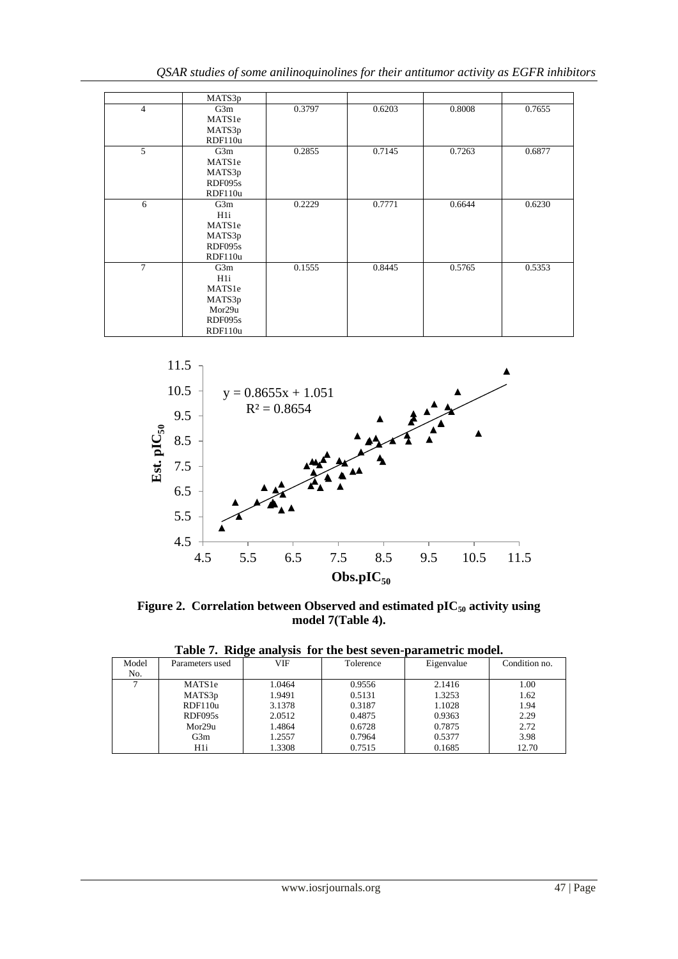|                | MATS3p         |        |        |        |        |
|----------------|----------------|--------|--------|--------|--------|
| $\overline{4}$ | G3m            | 0.3797 | 0.6203 | 0.8008 | 0.7655 |
|                | MATS1e         |        |        |        |        |
|                | MATS3p         |        |        |        |        |
|                | RDF110u        |        |        |        |        |
| 5              | G3m            | 0.2855 | 0.7145 | 0.7263 | 0.6877 |
|                | MATS1e         |        |        |        |        |
|                | MATS3p         |        |        |        |        |
|                | RDF095s        |        |        |        |        |
|                | RDF110u        |        |        |        |        |
| 6              | G3m            | 0.2229 | 0.7771 | 0.6644 | 0.6230 |
|                | H <sub>1</sub> |        |        |        |        |
|                | MATS1e         |        |        |        |        |
|                | MATS3p         |        |        |        |        |
|                | RDF095s        |        |        |        |        |
|                | RDF110u        |        |        |        |        |
| $\overline{7}$ | G3m            | 0.1555 | 0.8445 | 0.5765 | 0.5353 |
|                | H <sub>1</sub> |        |        |        |        |
|                | MATS1e         |        |        |        |        |
|                | MATS3p         |        |        |        |        |
|                | Mor29u         |        |        |        |        |
|                | RDF095s        |        |        |        |        |
|                | RDF110u        |        |        |        |        |



**Figure 2. Correlation between Observed and estimated pIC<sup>50</sup> activity using model 7(Table 4).**

| Model | Parameters used    | VIF    | Tolerence | Eigenvalue | Condition no. |
|-------|--------------------|--------|-----------|------------|---------------|
| No.   |                    |        |           |            |               |
|       | MATS <sub>1e</sub> | 1.0464 | 0.9556    | 2.1416     | 1.00          |
|       | MATS3p             | 1.9491 | 0.5131    | 1.3253     | 1.62          |
|       | RDF110u            | 3.1378 | 0.3187    | 1.1028     | 1.94          |
|       | RDF095s            | 2.0512 | 0.4875    | 0.9363     | 2.29          |
|       | Mor29u             | 1.4864 | 0.6728    | 0.7875     | 2.72          |
|       | G3m                | 1.2557 | 0.7964    | 0.5377     | 3.98          |
|       | H1i                | 1.3308 | 0.7515    | 0.1685     | 12.70         |

**Table 7. Ridge analysis for the best seven-parametric model.**